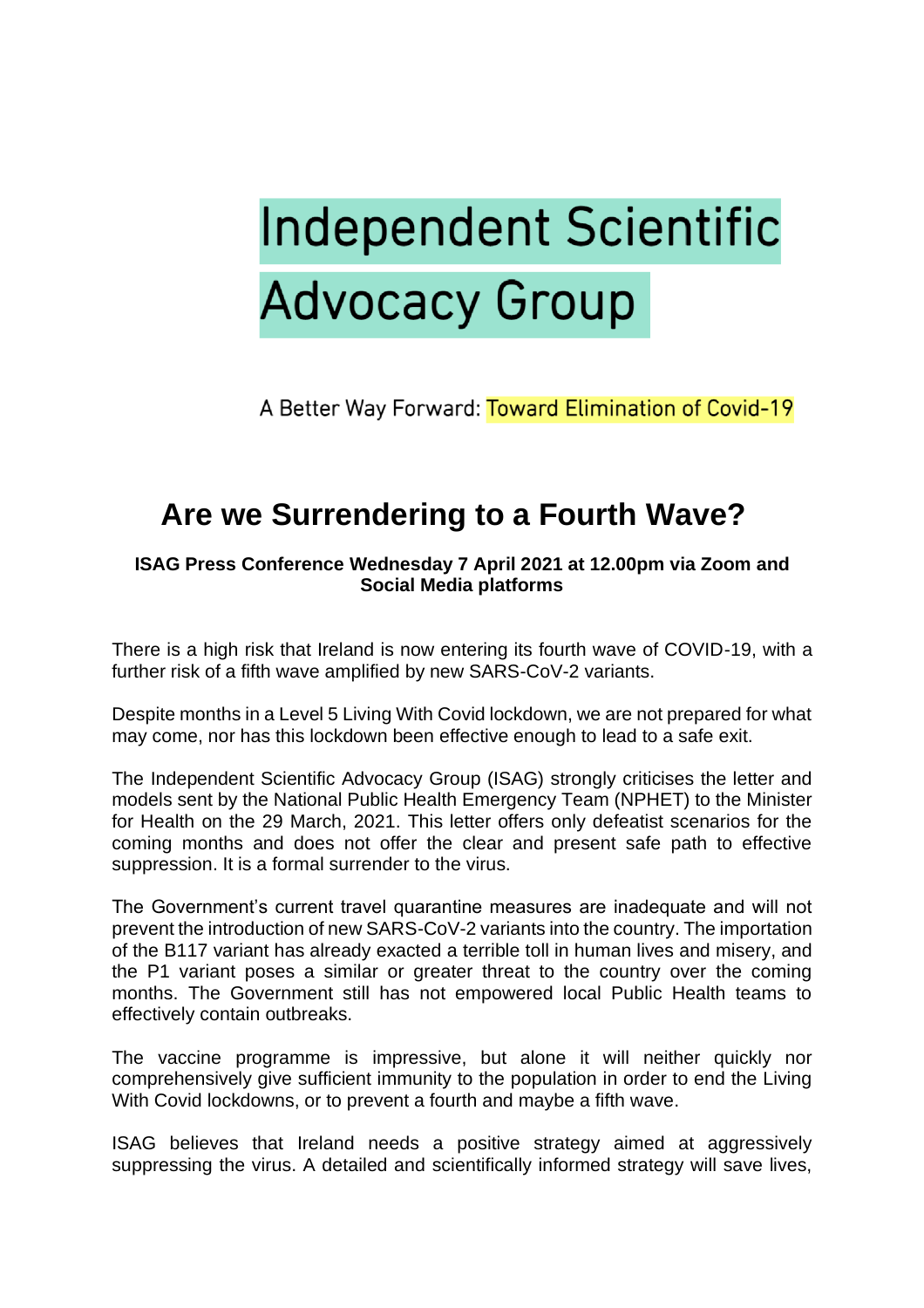## **Independent Scientific Advocacy Group**

A Better Way Forward: Toward Elimination of Covid-19

## **Are we Surrendering to a Fourth Wave?**

**ISAG Press Conference Wednesday 7 April 2021 at 12.00pm via Zoom and Social Media platforms**

There is a high risk that Ireland is now entering its fourth wave of COVID-19, with a further risk of a fifth wave amplified by new SARS-CoV-2 variants.

Despite months in a Level 5 Living With Covid lockdown, we are not prepared for what may come, nor has this lockdown been effective enough to lead to a safe exit.

The Independent Scientific Advocacy Group (ISAG) strongly criticises the letter and models sent by the National Public Health Emergency Team (NPHET) to the Minister for Health on the 29 March, 2021. This letter offers only defeatist scenarios for the coming months and does not offer the clear and present safe path to effective suppression. It is a formal surrender to the virus.

The Government's current travel quarantine measures are inadequate and will not prevent the introduction of new SARS-CoV-2 variants into the country. The importation of the B117 variant has already exacted a terrible toll in human lives and misery, and the P1 variant poses a similar or greater threat to the country over the coming months. The Government still has not empowered local Public Health teams to effectively contain outbreaks.

The vaccine programme is impressive, but alone it will neither quickly nor comprehensively give sufficient immunity to the population in order to end the Living With Covid lockdowns, or to prevent a fourth and maybe a fifth wave.

ISAG believes that Ireland needs a positive strategy aimed at aggressively suppressing the virus. A detailed and scientifically informed strategy will save lives,